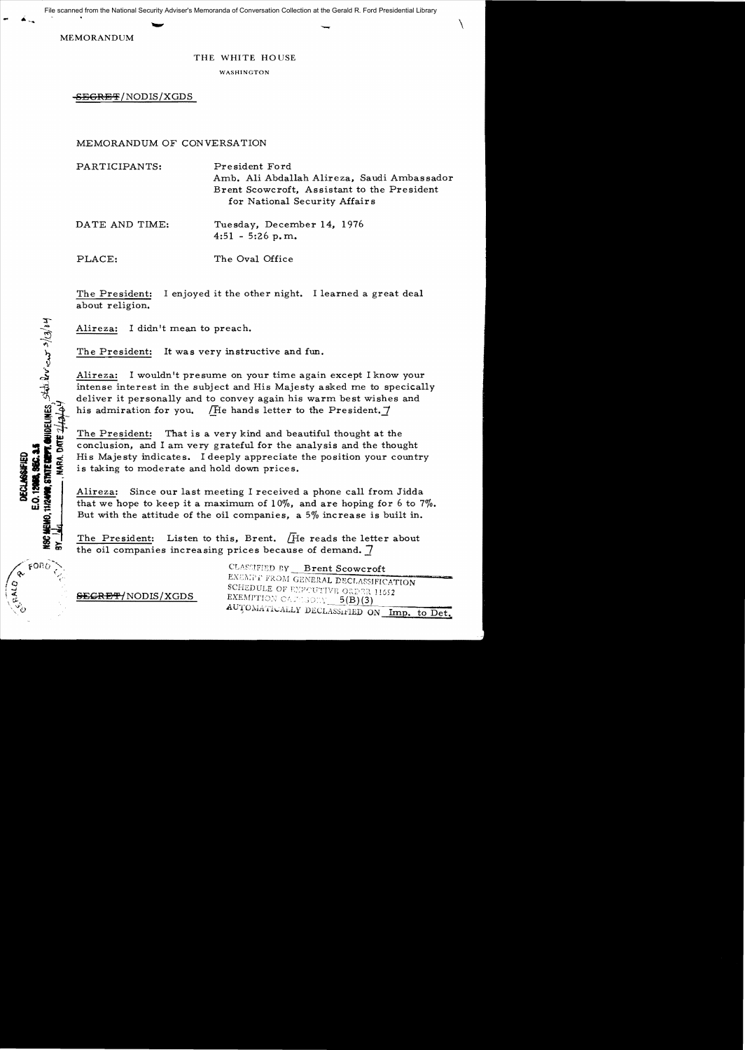**.** \ File scanned from the National Security Adviser's Memoranda of Conversation Collection at the Gerald R. Ford Presidential Library

MEMORANDUM

HIZAND, STATE COPY, QUIDELINES, State levicor 3/3/3/64

E.O. 12968, 960, 345 **DECLASSIFIED** 

9<br>₩

 $FORO$ 

NARA. DATE 24

## THE WHITE HO USE

WASHINGTON

-S<del>EGRET</del>/NODIS/XGDS

## MEMORANDUM OF CONVERSATION

| PARTICIPANTS:  | President Ford<br>Amb. Ali Abdallah Alireza, Saudi Ambassador<br>Brent Scowcroft, Assistant to the President<br>for National Security Affairs |
|----------------|-----------------------------------------------------------------------------------------------------------------------------------------------|
| DATE AND TIME: | Tuesday, December 14, 1976<br>$4:51 - 5:26$ p.m.                                                                                              |
| PLACE:         | The Oval Office                                                                                                                               |

The President: I enjoyed it the other night. I learned a great deal about religion.

Alireza: I didn't mean to preach.

The President: It was very instructive and fun.

Alireza: I wouldn't presume on your time again except I know your intense interest in the subject and His Majesty asked me to specically deliver it personally and to convey again his warm best wishes and his admiration for you. (He hands letter to the President.  $\vec{7}$ 

The President: That is a very kind and beautiful thought at the conclusion, and I am very grateful for the analysis and the thought His Majesty indicates. I deeply appreciate the position your country is taking to moderate and hold down prices.

Alireza: Since our last meeting I received a phone ca11 from Jidda that we hope to keep it a maximum of  $10\%$ , and are hoping for 6 to 7%. But with the attitude of the oil companies, a 5% increase is built in.

The President: Listen to this, Brent. (He reads the letter about the oil companies increasing prices because of demand. 7

> CLASSIFIED BY **Brent Scowcroft** EXEMPT FROM GENERAL DECLASSIFICATION SCHEDULE OF EXPOUTIVE ORDER 11652 EXEMPTION CAPASORY  $5(B)(3)$ AUTOMATICALLY DECLASSIFIED ON Imp. to Det.

<del>SEGRET/</del>NODIS/XGDS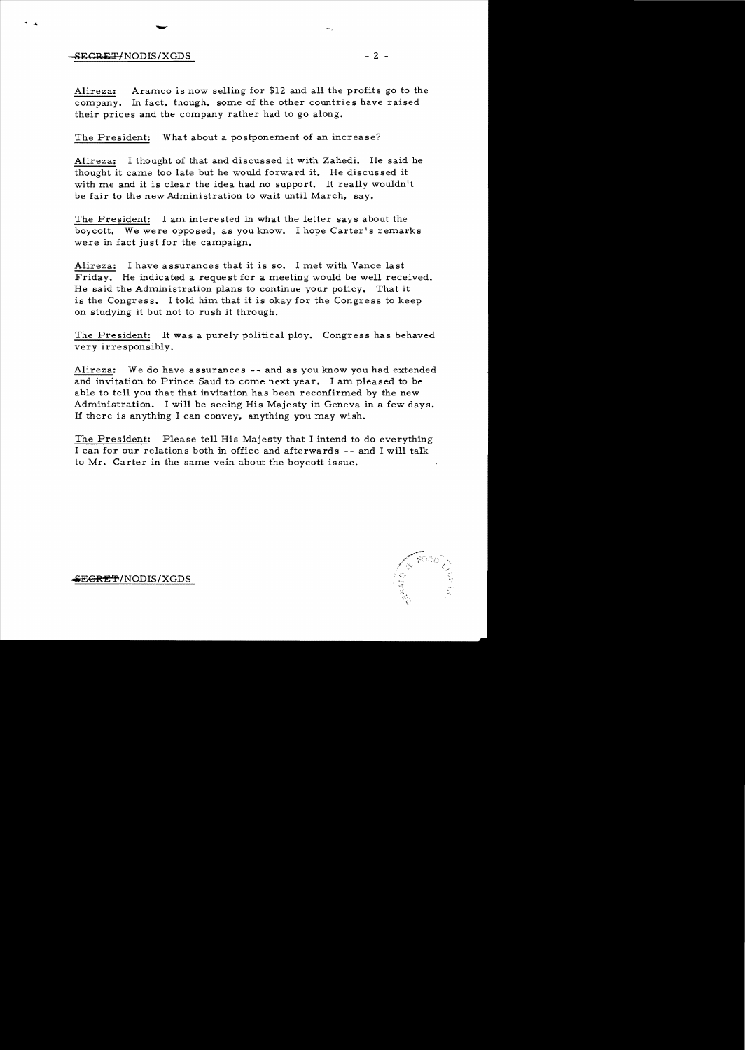## $SECRET/NODIS/XGDS$  - 2 -

- 4

-

Alireza: Aramco is now selling for \$12 and all the profits go to the company. In fact, though, some of the other countries have raised their prices and the company rather had to go along.

The President: What about a postponement of an increase?

Alireza: I thought of that and discussed it with Zahedi. He said he thought it came too late but he would forward it. He discussed it with me and it is clear the idea had no support. It really wouldn't be fair to the new Administration to wait until March, say.

The President: I am interested in what the letter says about the boycott. We were opposed, as you know. I hope Carter's remarks were in fact just for the campaign.

Alireza: I have assurances that it is so. I met with Vance last Friday. He indicated a request for a meeting would be well received. He said the Administration plans to continue your policy. That it is the Congress. I told him that it is okay for the Congress to keep on studying it but not to rush it through.

The President: It was a purely political ploy. Congress has behaved very irresponsibly.

Alireza: We do have assurances **--** and as you know you had extended and invitation to Prince Saud to come next year. I am pleased to be able to tell you that that invitation has been reconfirmed by the new Administration. I will be seeing His Majesty in Geneva in a few days. If there is anything I can convey, anything you may wish.

The President: Please tell His Majesty that I intend to do everything I can for our relations both in office and afterwards - - and I will talk to Mr. Carter in the same vein about the boycott issue.

**orS:E€RF!** 'f' /NODIS/XGDS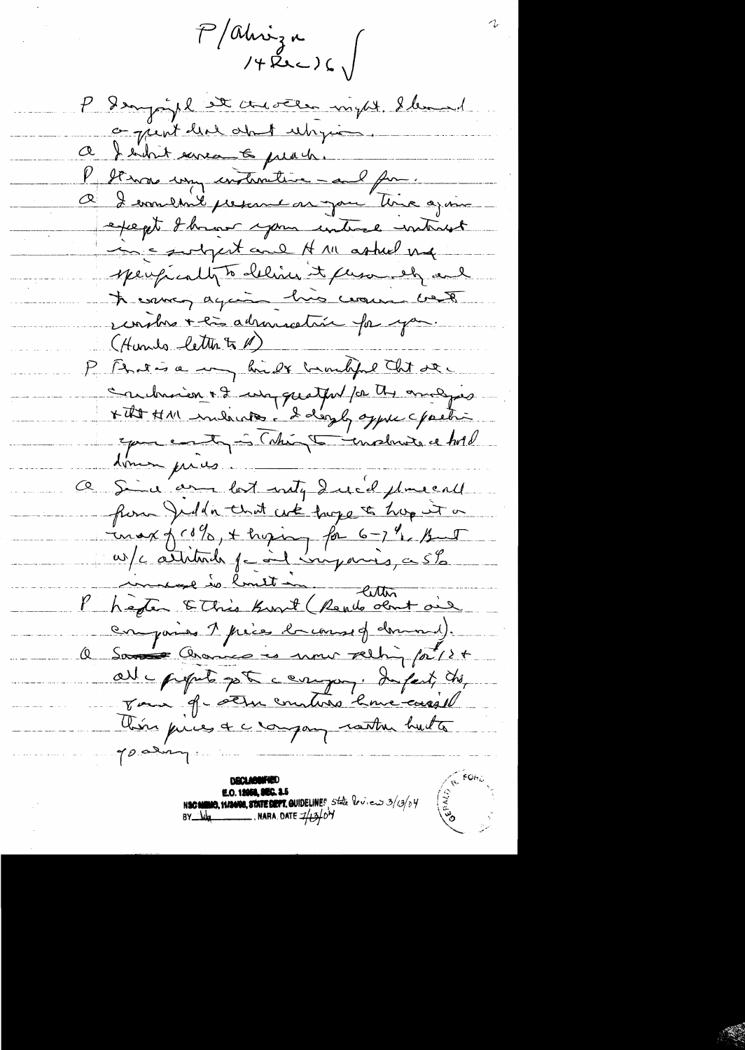$P/dh\nu_{3n}$ <br>  $/4Rn=16$ 

P Danjoyel et austen my de lemad o just here about unique. a I endre ernee to preach. l'It was une instructive - al fu . O I combail present as jour time ajoint except I how your untire interest incontant and H 111 ashed und sperfically to delivered to fluxousely and It comes again his course best unitres + la adressation fai you. (Hunds letter to M) P Brien a my hide humble that see Saubrison + 2 un quitput par tres analyses Epouse entre l'attente de la ce tous done pres a sind and lost inty duck placeall flow Juden that we hope to hap it a  $\frac{1}{\sqrt{2}}\frac{1}{\sqrt{2}}\frac{1}{\sqrt{2}}\frac{1}{\sqrt{2}}\left(\frac{1}{\sqrt{2}}\frac{1}{\sqrt{2}}\right)+\frac{1}{\sqrt{2}}\frac{1}{\sqrt{2}}\frac{1}{\sqrt{2}}\frac{1}{\sqrt{2}}\frac{1}{\sqrt{2}}\frac{1}{\sqrt{2}}\frac{1}{\sqrt{2}}\frac{1}{\sqrt{2}}\frac{1}{\sqrt{2}}\frac{1}{\sqrt{2}}\frac{1}{\sqrt{2}}\frac{1}{\sqrt{2}}\frac{1}{\sqrt{2}}\frac{1}{\sqrt{2}}\frac{1}{\sqrt{2}}\frac{1}{$ w/c athlands family virgons, a 5% Phéfer & This Knot (Rendo dont ai comparise 7 précedent de course of dominal. a Samer Crains es nous reching prise all - propole pet company. Infect, the Jan 9-octure metins 2 me carso him pries & crongany rather huite goaling.

**DBCLABONNED E.O. 12068, SEG. 2.5**<br>N**SC NINIO, 11/2008, STATE DEPT. GUIDELINE**S State  $2\pi r \cos \frac{3}{2}r \sin \frac{3}{2}r \sin \frac{3}{2}r \sin \frac{3}{2}r \sin \frac{3}{2}r \sin \frac{3}{2}r \sin \frac{3}{2}r \sin \frac{3}{2}r \sin \frac{3}{2}r \sin \frac{3}{2}r \sin \frac{3}{2}r \sin \frac{3}{2}r \sin \frac{3}{2}r \sin \frac{3}{2}r \sin$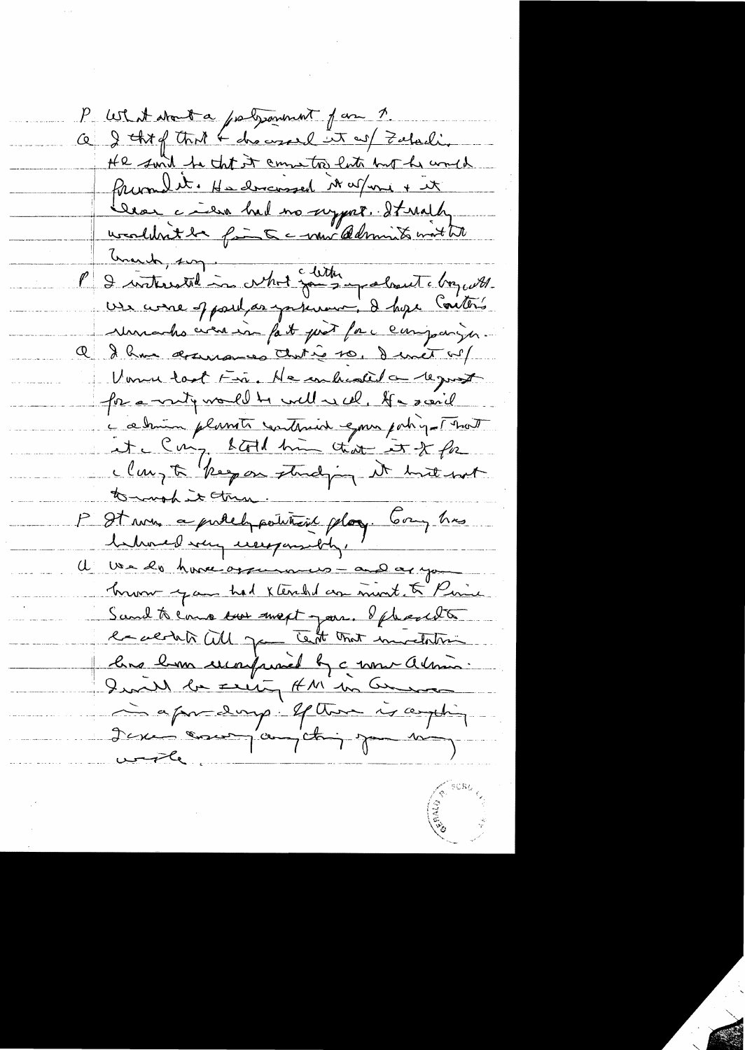P What about a polysonment for 7. a I thing that & drowsered in as I Zatuali. He suid to that it commenter late but he would friend it. He discussed Nature + it Croi à mal no sugger. It mally P & interested in what said superland chequette use come of part as partement, de hope Contens Murades cien in fait pour fac companyer. Q & hum desurances that is to, I unet w? Verne tast Fin. He en histed a reguest for a mity would be well in cel. If a scaril a ce huin plants continued epour patrique That it Cu'y both him that it of for tormand it then. P Starre a publique point play. Compte behoved way userpossibly, ' I we do have oppenances - and as you hum you had xtended an mont. & Pine Sand to come une mext pour. If heard to er acted Will game Text that murderline lune hom une puniet by a nouvellement. I said la seit AM en Comme à apredance et there is again I can concer comptain pour mon  $u \rightarrow u$